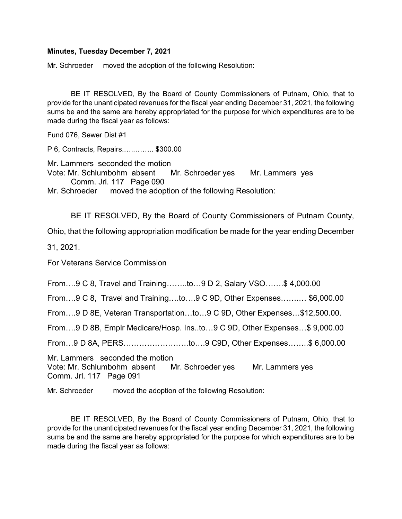## Minutes, Tuesday December 7, 2021

Mr. Schroeder moved the adoption of the following Resolution:

 BE IT RESOLVED, By the Board of County Commissioners of Putnam, Ohio, that to provide for the unanticipated revenues for the fiscal year ending December 31, 2021, the following sums be and the same are hereby appropriated for the purpose for which expenditures are to be made during the fiscal year as follows:

Fund 076, Sewer Dist #1

P 6, Contracts, Repairs.…..…….. \$300.00

Mr. Lammers seconded the motion Vote: Mr. Schlumbohm absent Mr. Schroeder yes Mr. Lammers yes Comm. Jrl. 117 Page 090

Mr. Schroeder moved the adoption of the following Resolution:

BE IT RESOLVED, By the Board of County Commissioners of Putnam County,

Ohio, that the following appropriation modification be made for the year ending December

31, 2021.

For Veterans Service Commission

From….9 C 8, Travel and Training……..to…9 D 2, Salary VSO…….\$ 4,000.00

From….9 C 8, Travel and Training….to….9 C 9D, Other Expenses…….… \$6,000.00

From….9 D 8E, Veteran Transportation…to…9 C 9D, Other Expenses…\$12,500.00.

From….9 D 8B, Emplr Medicare/Hosp. Ins..to…9 C 9D, Other Expenses…\$ 9,000.00

From…9 D 8A, PERS…………………….to….9 C9D, Other Expenses……..\$ 6,000.00

Mr. Lammers seconded the motion Vote: Mr. Schlumbohm absent Mr. Schroeder yes Mr. Lammers yes Comm. Jrl. 117 Page 091

Mr. Schroeder moved the adoption of the following Resolution:

 BE IT RESOLVED, By the Board of County Commissioners of Putnam, Ohio, that to provide for the unanticipated revenues for the fiscal year ending December 31, 2021, the following sums be and the same are hereby appropriated for the purpose for which expenditures are to be made during the fiscal year as follows: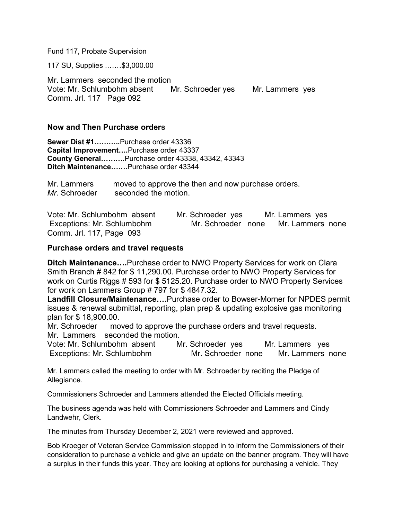Fund 117, Probate Supervision

117 SU, Supplies .……\$3,000.00

Mr. Lammers seconded the motion Vote: Mr. Schlumbohm absent Mr. Schroeder yes Mr. Lammers yes Comm. Jrl. 117 Page 092

## Now and Then Purchase orders

Sewer Dist #1………..Purchase order 43336 Capital Improvement….Purchase order 43337 County General……….Purchase order 43338, 43342, 43343 Ditch Maintenance…….Purchase order 43344

Mr. Lammers moved to approve the then and now purchase orders. Mr. Schroeder seconded the motion.

Vote: Mr. Schlumbohm absent Mr. Schroeder yes Mr. Lammers yes Exceptions: Mr. Schlumbohm Mr. Schroeder none Mr. Lammers none Comm. Jrl. 117, Page 093

## Purchase orders and travel requests

Ditch Maintenance....Purchase order to NWO Property Services for work on Clara Smith Branch # 842 for \$ 11,290.00. Purchase order to NWO Property Services for work on Curtis Riggs # 593 for \$ 5125.20. Purchase order to NWO Property Services for work on Lammers Group # 797 for \$ 4847.32.

Landfill Closure/Maintenance….Purchase order to Bowser-Morner for NPDES permit issues & renewal submittal, reporting, plan prep & updating explosive gas monitoring plan for \$ 18,900.00.

Mr. Schroeder moved to approve the purchase orders and travel requests. Mr. Lammers seconded the motion.

Vote: Mr. Schlumbohm absent Mr. Schroeder yes Mr. Lammers yes Exceptions: Mr. Schlumbohm Mr. Schroeder none Mr. Lammers none

Mr. Lammers called the meeting to order with Mr. Schroeder by reciting the Pledge of Allegiance.

Commissioners Schroeder and Lammers attended the Elected Officials meeting.

The business agenda was held with Commissioners Schroeder and Lammers and Cindy Landwehr, Clerk.

The minutes from Thursday December 2, 2021 were reviewed and approved.

Bob Kroeger of Veteran Service Commission stopped in to inform the Commissioners of their consideration to purchase a vehicle and give an update on the banner program. They will have a surplus in their funds this year. They are looking at options for purchasing a vehicle. They